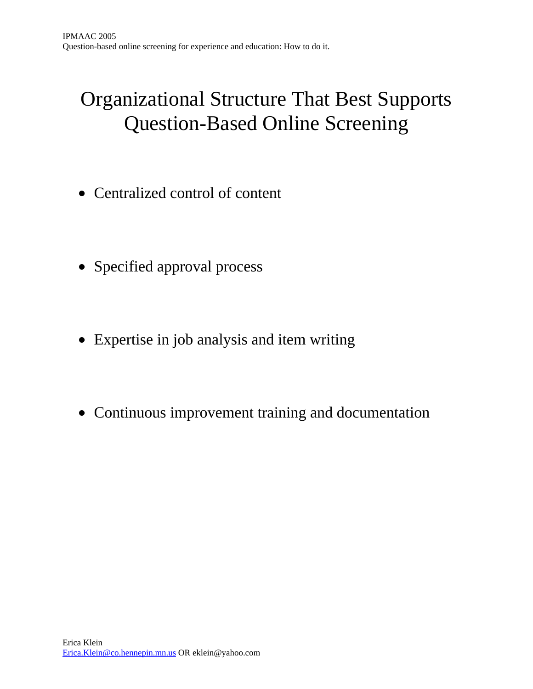## Organizational Structure That Best Supports Question-Based Online Screening

- Centralized control of content
- Specified approval process
- Expertise in job analysis and item writing
- Continuous improvement training and documentation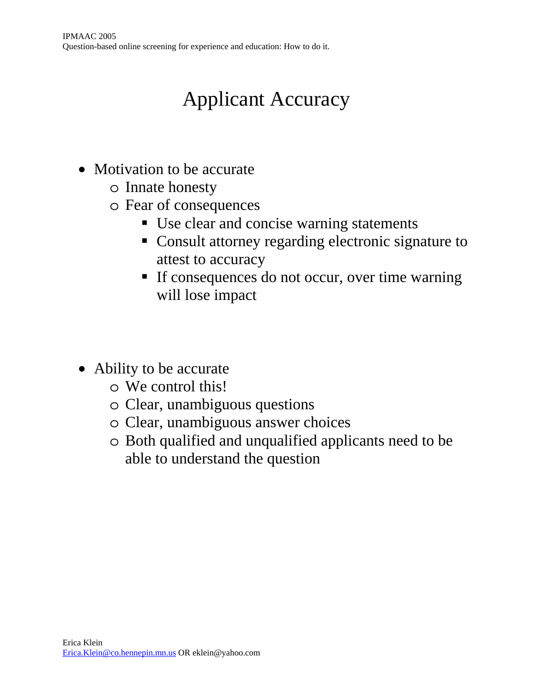# Applicant Accuracy

- Motivation to be accurate
	- o Innate honesty
	- o Fear of consequences
		- Use clear and concise warning statements
		- Consult attorney regarding electronic signature to attest to accuracy
		- If consequences do not occur, over time warning will lose impact
- Ability to be accurate
	- o We control this!
	- o Clear, unambiguous questions
	- o Clear, unambiguous answer choices
	- o Both qualified and unqualified applicants need to be able to understand the question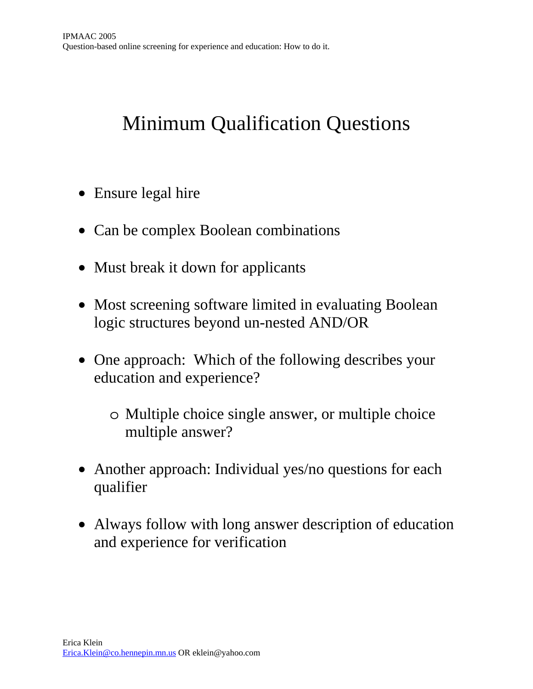## Minimum Qualification Questions

- Ensure legal hire
- Can be complex Boolean combinations
- Must break it down for applicants
- Most screening software limited in evaluating Boolean logic structures beyond un-nested AND/OR
- One approach: Which of the following describes your education and experience?
	- o Multiple choice single answer, or multiple choice multiple answer?
- Another approach: Individual yes/no questions for each qualifier
- Always follow with long answer description of education and experience for verification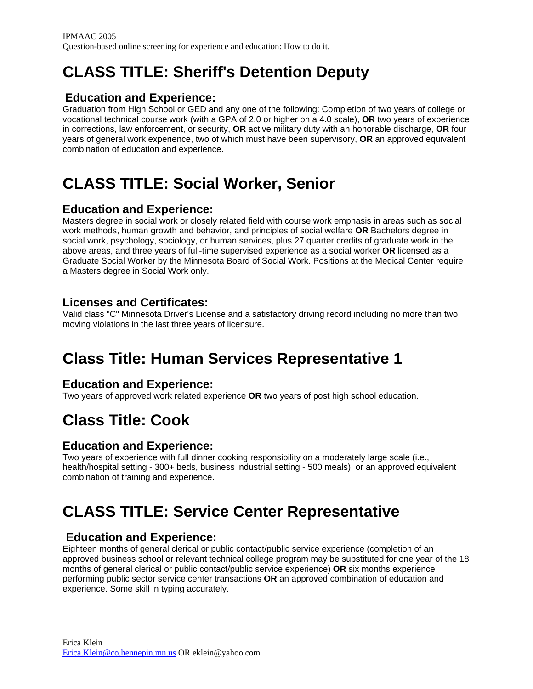### **CLASS TITLE: Sheriff's Detention Deputy**

#### **Education and Experience:**

Graduation from High School or GED and any one of the following: Completion of two years of college or vocational technical course work (with a GPA of 2.0 or higher on a 4.0 scale), **OR** two years of experience in corrections, law enforcement, or security, **OR** active military duty with an honorable discharge, **OR** four years of general work experience, two of which must have been supervisory, **OR** an approved equivalent combination of education and experience.

### **CLASS TITLE: Social Worker, Senior**

#### **Education and Experience:**

Masters degree in social work or closely related field with course work emphasis in areas such as social work methods, human growth and behavior, and principles of social welfare **OR** Bachelors degree in social work, psychology, sociology, or human services, plus 27 quarter credits of graduate work in the above areas, and three years of full-time supervised experience as a social worker **OR** licensed as a Graduate Social Worker by the Minnesota Board of Social Work. Positions at the Medical Center require a Masters degree in Social Work only.

#### **Licenses and Certificates:**

Valid class "C" Minnesota Driver's License and a satisfactory driving record including no more than two moving violations in the last three years of licensure.

### **Class Title: Human Services Representative 1**

#### **Education and Experience:**

Two years of approved work related experience **OR** two years of post high school education.

### **Class Title: Cook**

#### **Education and Experience:**

Two years of experience with full dinner cooking responsibility on a moderately large scale (i.e., health/hospital setting - 300+ beds, business industrial setting - 500 meals); or an approved equivalent combination of training and experience.

### **CLASS TITLE: Service Center Representative**

#### **Education and Experience:**

Eighteen months of general clerical or public contact/public service experience (completion of an approved business school or relevant technical college program may be substituted for one year of the 18 months of general clerical or public contact/public service experience) **OR** six months experience performing public sector service center transactions **OR** an approved combination of education and experience. Some skill in typing accurately.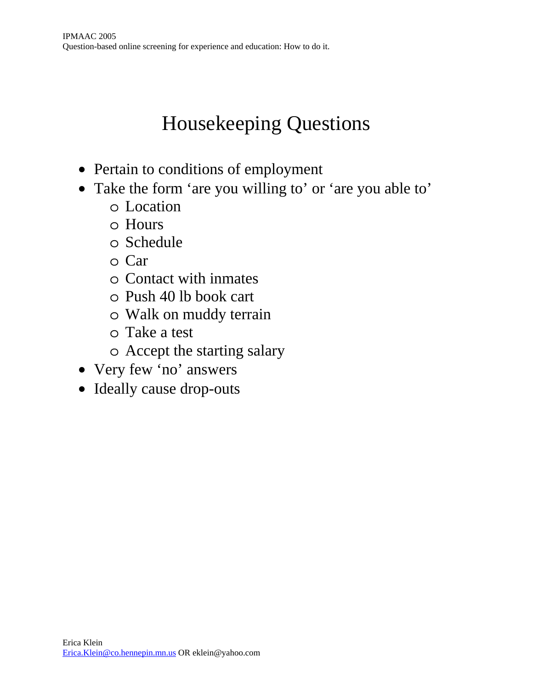# Housekeeping Questions

- Pertain to conditions of employment
- Take the form 'are you willing to' or 'are you able to'
	- o Location
	- o Hours
	- o Schedule
	- o Car
	- o Contact with inmates
	- o Push 40 lb book cart
	- o Walk on muddy terrain
	- o Take a test
	- o Accept the starting salary
- Very few 'no' answers
- Ideally cause drop-outs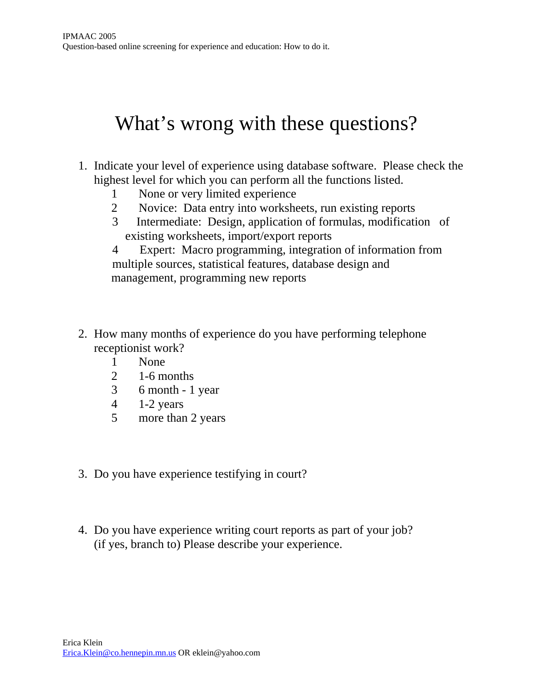## What's wrong with these questions?

- 1. Indicate your level of experience using database software. Please check the highest level for which you can perform all the functions listed.
	- 1 None or very limited experience
	- 2 Novice: Data entry into worksheets, run existing reports
	- 3 Intermediate: Design, application of formulas, modification of existing worksheets, import/export reports

4 Expert: Macro programming, integration of information from multiple sources, statistical features, database design and management, programming new reports

- 2. How many months of experience do you have performing telephone receptionist work?
	- 1 None
	- 2 1-6 months
	- 3 6 month 1 year
	- 4 1-2 years
	- 5 more than 2 years
- 3. Do you have experience testifying in court?
- 4. Do you have experience writing court reports as part of your job? (if yes, branch to) Please describe your experience.